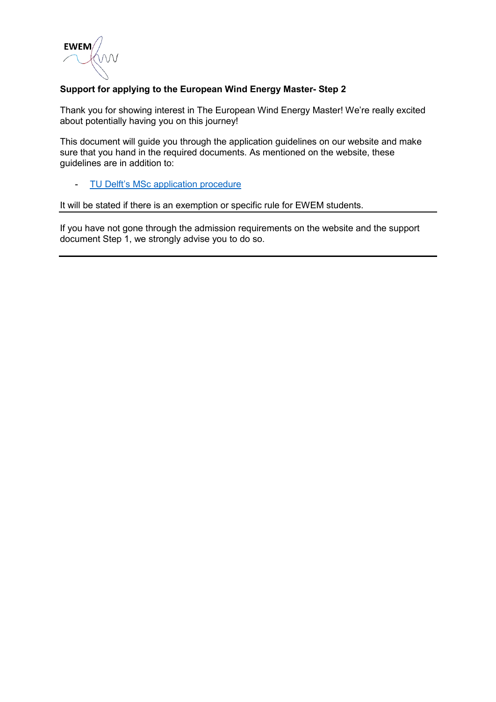

#### **Support for applying to the European Wind Energy Master- Step 2**

Thank you for showing interest in The European Wind Energy Master! We're really excited about potentially having you on this journey!

This document will guide you through the application guidelines on our website and make sure that you hand in the required documents. As mentioned on the website, these guidelines are in addition to:

#### - [TU Delft's MSc application](https://www.tudelft.nl/education/admission-and-application/msc-international-diploma/application-procedure/) procedure

It will be stated if there is an exemption or specific rule for EWEM students.

If you have not gone through the admission requirements on the website and the support document Step 1, we strongly advise you to do so.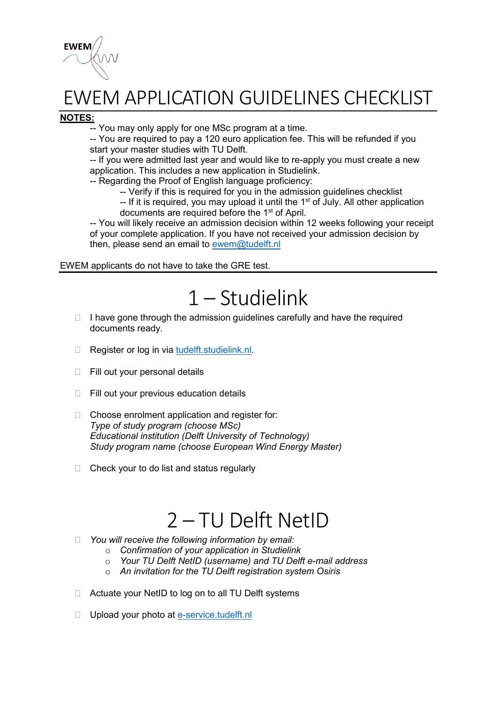

## EWEM APPLICATION GUIDELINES CHECKLIST

#### **NOTES:**

-- You may only apply for one MSc program at a time.

-- You are required to pay a 120 euro application fee. This will be refunded if you start your master studies with TU Delft.

-- If you were admitted last year and would like to re-apply you must create a new application. This includes a new application in Studielink.

-- Regarding the Proof of English language proficiency:

-- Verify if this is required for you in the admission guidelines checklist

 $-$  If it is required, you may upload it until the 1<sup>st</sup> of July. All other application documents are required before the 1<sup>st</sup> of April.

-- You will likely receive an admission decision within 12 weeks following your receipt of your complete application. If you have not received your admission decision by then, please send an email to [ewem@tudelft.nl](mailto:ewem@tudelft.nl?subject=Admission%20decision%20EWEM)

EWEM applicants do not have to take the GRE test.

## 1 – Studielink

- $\Box$  I have gone through the admission guidelines carefully and have the required documents ready.
- □ Register or log in via [tudelft.studielink.nl.](https://www.studielink.nl/?brinCode=21PF)
- □ Fill out your personal details
- $\Box$  Fill out your previous education details
- □ Choose enrolment application and register for: *Type of study program (choose MSc) Educational institution (Delft University of Technology) Study program name (choose European Wind Energy Master)*
- $\Box$  Check your to do list and status regularly

### 2 – TU Delft NetID

- *You will receive the following information by email:*
	- o *Confirmation of your application in Studielink*
	- o *Your TU Delft NetID (username) and TU Delft e-mail address*
	- o *An invitation for the TU Delft registration system Osiris*
- □ Actuate your NetID to log on to all TU Delft systems
- D Upload your photo at [e-service.tudelft.nl](https://e-service.tudelft.nl/EService.html?locale=en#info)